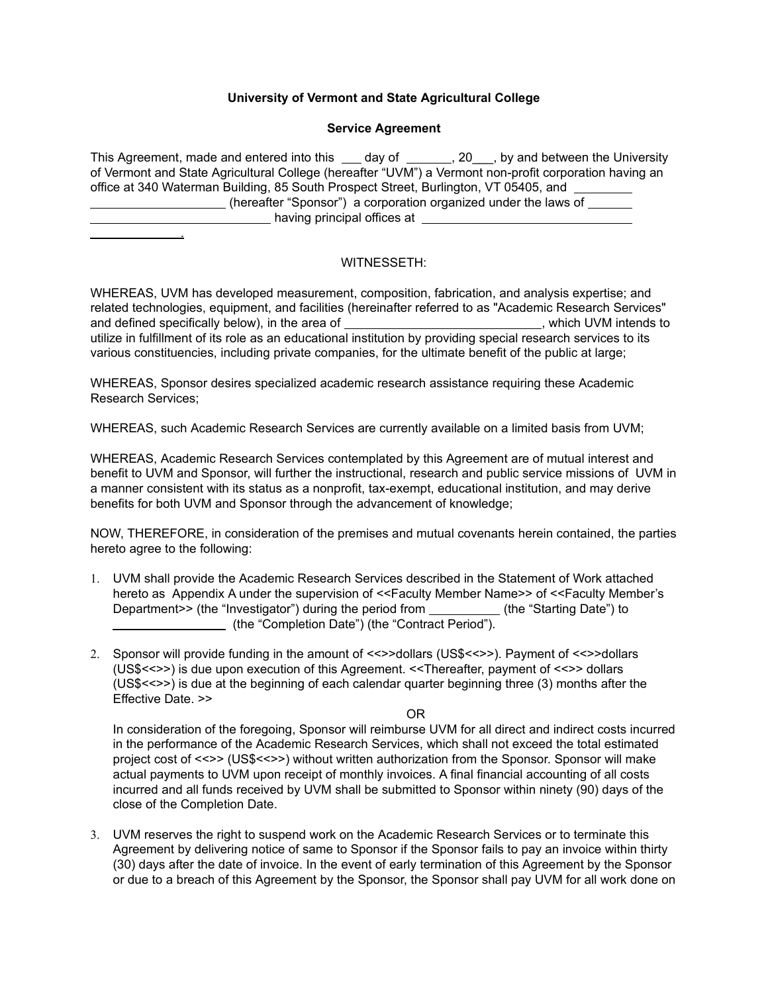## **University of Vermont and State Agricultural College**

## **Service Agreement**

| This Agreement, made and entered into this ____ day of ________, 20 , by and between the University    |
|--------------------------------------------------------------------------------------------------------|
| of Vermont and State Agricultural College (hereafter "UVM") a Vermont non-profit corporation having an |
| office at 340 Waterman Building, 85 South Prospect Street, Burlington, VT 05405, and                   |
| (hereafter "Sponsor") a corporation organized under the laws of                                        |
| having principal offices at                                                                            |
|                                                                                                        |

## WITNESSETH:

WHEREAS, UVM has developed measurement, composition, fabrication, and analysis expertise; and related technologies, equipment, and facilities (hereinafter referred to as "Academic Research Services" and defined specifically below), in the area of  $\blacksquare$ , which UVM intends to utilize in fulfillment of its role as an educational institution by providing special research services to its various constituencies, including private companies, for the ultimate benefit of the public at large;

WHEREAS, Sponsor desires specialized academic research assistance requiring these Academic Research Services;

WHEREAS, such Academic Research Services are currently available on a limited basis from UVM;

WHEREAS, Academic Research Services contemplated by this Agreement are of mutual interest and benefit to UVM and Sponsor, will further the instructional, research and public service missions of UVM in a manner consistent with its status as a nonprofit, tax-exempt, educational institution, and may derive benefits for both UVM and Sponsor through the advancement of knowledge;

NOW, THEREFORE, in consideration of the premises and mutual covenants herein contained, the parties hereto agree to the following:

- 1. UVM shall provide the Academic Research Services described in the Statement of Work attached hereto as Appendix A under the supervision of <<Faculty Member Name>> of <<Faculty Member's Department>> (the "Investigator") during the period from \_ (the "Starting Date") to (the "Completion Date") (the "Contract Period").
- 2. Sponsor will provide funding in the amount of <<>>dollars (US\$<<>>). Payment of <<>>dollars (US\$<<>>) is due upon execution of this Agreement. <<Thereafter, payment of <<>> dollars (US\$<<>>) is due at the beginning of each calendar quarter beginning three (3) months after the Effective Date. >>

OR

In consideration of the foregoing, Sponsor will reimburse UVM for all direct and indirect costs incurred in the performance of the Academic Research Services, which shall not exceed the total estimated project cost of <<>> (US\$<<>>) without written authorization from the Sponsor. Sponsor will make actual payments to UVM upon receipt of monthly invoices. A final financial accounting of all costs incurred and all funds received by UVM shall be submitted to Sponsor within ninety (90) days of the close of the Completion Date.

3. UVM reserves the right to suspend work on the Academic Research Services or to terminate this Agreement by delivering notice of same to Sponsor if the Sponsor fails to pay an invoice within thirty (30) days after the date of invoice. In the event of early termination of this Agreement by the Sponsor or due to a breach of this Agreement by the Sponsor, the Sponsor shall pay UVM for all work done on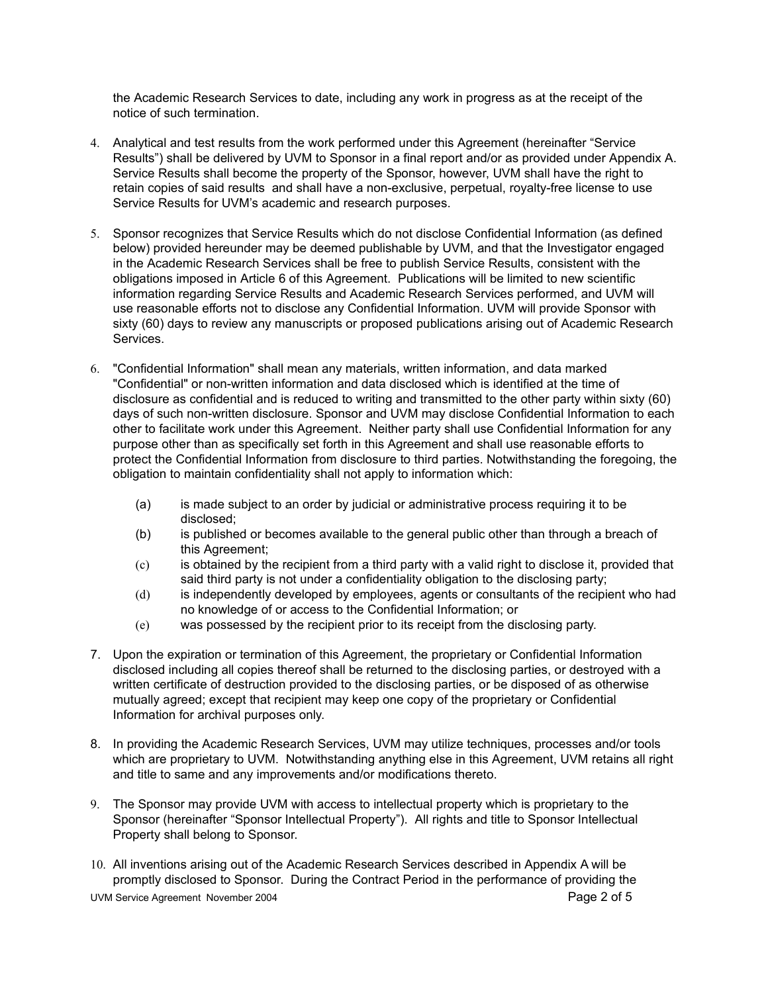the Academic Research Services to date, including any work in progress as at the receipt of the notice of such termination.

- 4. Analytical and test results from the work performed under this Agreement (hereinafter "Service Results") shall be delivered by UVM to Sponsor in a final report and/or as provided under Appendix A. Service Results shall become the property of the Sponsor, however, UVM shall have the right to retain copies of said results and shall have a non-exclusive, perpetual, royalty-free license to use Service Results for UVM's academic and research purposes.
- 5. Sponsor recognizes that Service Results which do not disclose Confidential Information (as defined below) provided hereunder may be deemed publishable by UVM, and that the Investigator engaged in the Academic Research Services shall be free to publish Service Results, consistent with the obligations imposed in Article 6 of this Agreement. Publications will be limited to new scientific information regarding Service Results and Academic Research Services performed, and UVM will use reasonable efforts not to disclose any Confidential Information. UVM will provide Sponsor with sixty (60) days to review any manuscripts or proposed publications arising out of Academic Research Services.
- 6. "Confidential Information" shall mean any materials, written information, and data marked "Confidential" or non-written information and data disclosed which is identified at the time of disclosure as confidential and is reduced to writing and transmitted to the other party within sixty (60) days of such non-written disclosure. Sponsor and UVM may disclose Confidential Information to each other to facilitate work under this Agreement. Neither party shall use Confidential Information for any purpose other than as specifically set forth in this Agreement and shall use reasonable efforts to protect the Confidential Information from disclosure to third parties. Notwithstanding the foregoing, the obligation to maintain confidentiality shall not apply to information which:
	- (a) is made subject to an order by judicial or administrative process requiring it to be disclosed;
	- (b) is published or becomes available to the general public other than through a breach of this Agreement;
	- (c) is obtained by the recipient from a third party with a valid right to disclose it, provided that said third party is not under a confidentiality obligation to the disclosing party;
	- (d) is independently developed by employees, agents or consultants of the recipient who had no knowledge of or access to the Confidential Information; or
	- (e) was possessed by the recipient prior to its receipt from the disclosing party.
- 7. Upon the expiration or termination of this Agreement, the proprietary or Confidential Information disclosed including all copies thereof shall be returned to the disclosing parties, or destroyed with a written certificate of destruction provided to the disclosing parties, or be disposed of as otherwise mutually agreed; except that recipient may keep one copy of the proprietary or Confidential Information for archival purposes only.
- 8. In providing the Academic Research Services, UVM may utilize techniques, processes and/or tools which are proprietary to UVM. Notwithstanding anything else in this Agreement, UVM retains all right and title to same and any improvements and/or modifications thereto.
- 9. The Sponsor may provide UVM with access to intellectual property which is proprietary to the Sponsor (hereinafter "Sponsor Intellectual Property"). All rights and title to Sponsor Intellectual Property shall belong to Sponsor.
- 10. All inventions arising out of the Academic Research Services described in Appendix A will be promptly disclosed to Sponsor. During the Contract Period in the performance of providing the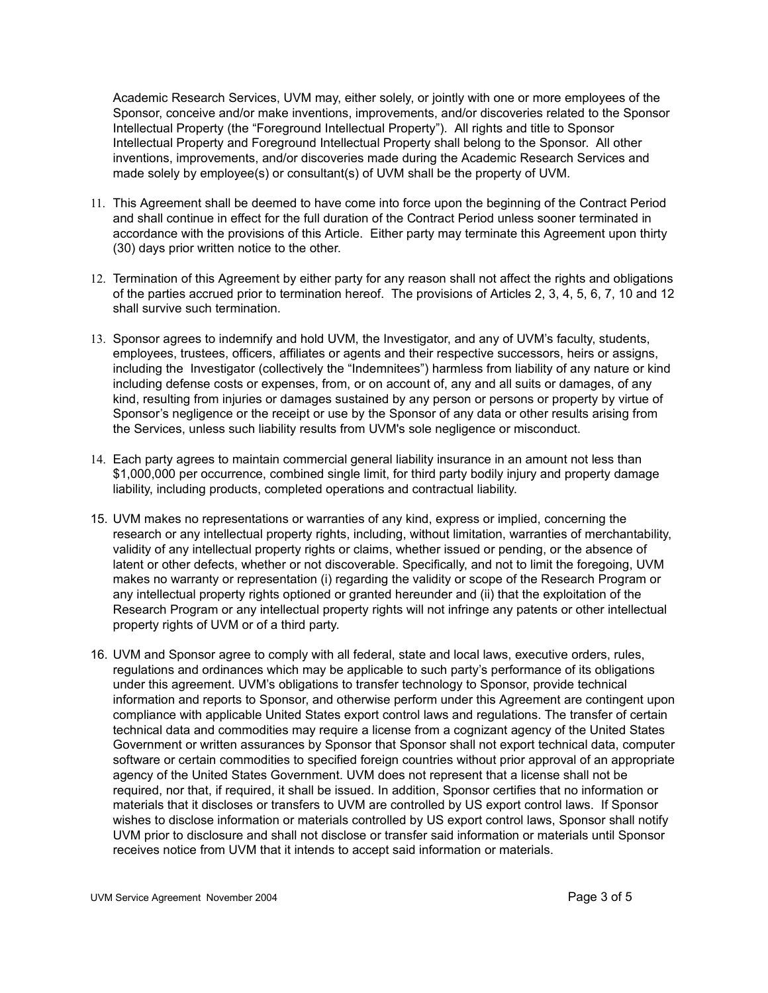Academic Research Services, UVM may, either solely, or jointly with one or more employees of the Sponsor, conceive and/or make inventions, improvements, and/or discoveries related to the Sponsor Intellectual Property (the "Foreground Intellectual Property"). All rights and title to Sponsor Intellectual Property and Foreground Intellectual Property shall belong to the Sponsor. All other inventions, improvements, and/or discoveries made during the Academic Research Services and made solely by employee(s) or consultant(s) of UVM shall be the property of UVM.

- 11. This Agreement shall be deemed to have come into force upon the beginning of the Contract Period and shall continue in effect for the full duration of the Contract Period unless sooner terminated in accordance with the provisions of this Article. Either party may terminate this Agreement upon thirty (30) days prior written notice to the other.
- 12. Termination of this Agreement by either party for any reason shall not affect the rights and obligations of the parties accrued prior to termination hereof. The provisions of Articles 2, 3, 4, 5, 6, 7, 10 and 12 shall survive such termination.
- 13. Sponsor agrees to indemnify and hold UVM, the Investigator, and any of UVM's faculty, students, employees, trustees, officers, affiliates or agents and their respective successors, heirs or assigns, including the Investigator (collectively the "Indemnitees") harmless from liability of any nature or kind including defense costs or expenses, from, or on account of, any and all suits or damages, of any kind, resulting from injuries or damages sustained by any person or persons or property by virtue of Sponsor's negligence or the receipt or use by the Sponsor of any data or other results arising from the Services, unless such liability results from UVM's sole negligence or misconduct.
- 14. Each party agrees to maintain commercial general liability insurance in an amount not less than \$1,000,000 per occurrence, combined single limit, for third party bodily injury and property damage liability, including products, completed operations and contractual liability.
- 15. UVM makes no representations or warranties of any kind, express or implied, concerning the research or any intellectual property rights, including, without limitation, warranties of merchantability, validity of any intellectual property rights or claims, whether issued or pending, or the absence of latent or other defects, whether or not discoverable. Specifically, and not to limit the foregoing, UVM makes no warranty or representation (i) regarding the validity or scope of the Research Program or any intellectual property rights optioned or granted hereunder and (ii) that the exploitation of the Research Program or any intellectual property rights will not infringe any patents or other intellectual property rights of UVM or of a third party.
- 16. UVM and Sponsor agree to comply with all federal, state and local laws, executive orders, rules, regulations and ordinances which may be applicable to such party's performance of its obligations under this agreement. UVM's obligations to transfer technology to Sponsor, provide technical information and reports to Sponsor, and otherwise perform under this Agreement are contingent upon compliance with applicable United States export control laws and regulations. The transfer of certain technical data and commodities may require a license from a cognizant agency of the United States Government or written assurances by Sponsor that Sponsor shall not export technical data, computer software or certain commodities to specified foreign countries without prior approval of an appropriate agency of the United States Government. UVM does not represent that a license shall not be required, nor that, if required, it shall be issued. In addition, Sponsor certifies that no information or materials that it discloses or transfers to UVM are controlled by US export control laws. If Sponsor wishes to disclose information or materials controlled by US export control laws, Sponsor shall notify UVM prior to disclosure and shall not disclose or transfer said information or materials until Sponsor receives notice from UVM that it intends to accept said information or materials.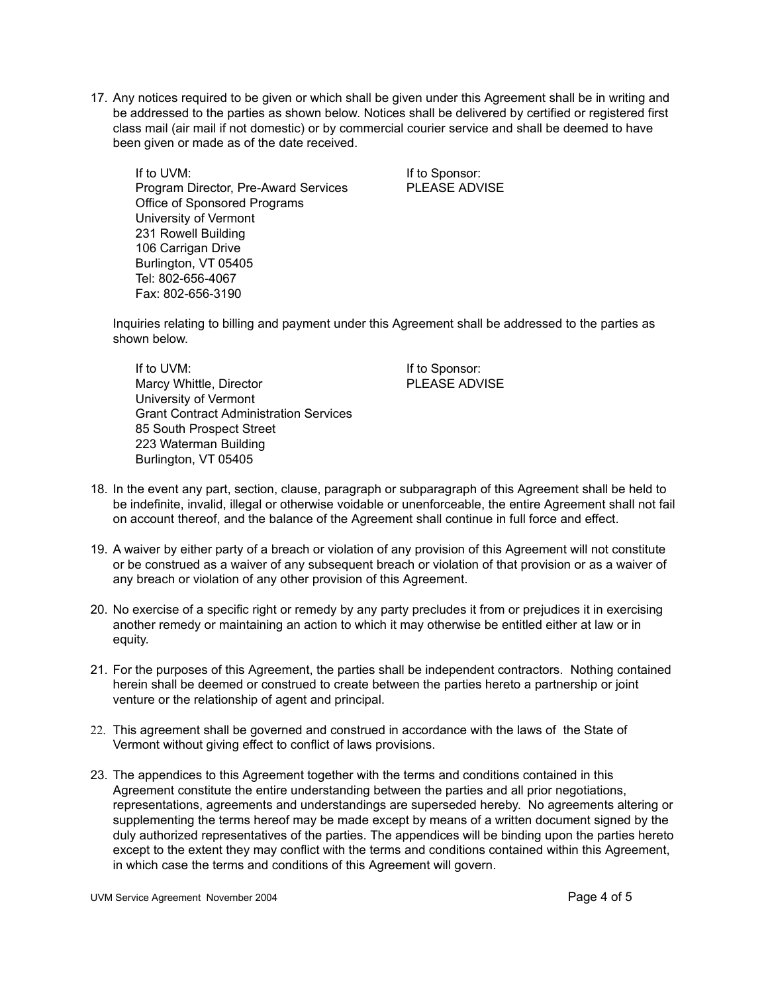17. Any notices required to be given or which shall be given under this Agreement shall be in writing and be addressed to the parties as shown below. Notices shall be delivered by certified or registered first class mail (air mail if not domestic) or by commercial courier service and shall be deemed to have been given or made as of the date received.

If to UVM: If to Sponsor: Program Director, Pre-Award Services PLEASE ADVISE Office of Sponsored Programs University of Vermont 231 Rowell Building 106 Carrigan Drive Burlington, VT 05405 Tel: 802-656-4067 Fax: 802-656-3190

Inquiries relating to billing and payment under this Agreement shall be addressed to the parties as shown below.

If to UVM: If to Sponsor: Marcy Whittle, Director **PLEASE ADVISE** University of Vermont Grant Contract Administration Services 85 South Prospect Street 223 Waterman Building Burlington, VT 05405

- 18. In the event any part, section, clause, paragraph or subparagraph of this Agreement shall be held to be indefinite, invalid, illegal or otherwise voidable or unenforceable, the entire Agreement shall not fail on account thereof, and the balance of the Agreement shall continue in full force and effect.
- 19. A waiver by either party of a breach or violation of any provision of this Agreement will not constitute or be construed as a waiver of any subsequent breach or violation of that provision or as a waiver of any breach or violation of any other provision of this Agreement.
- 20. No exercise of a specific right or remedy by any party precludes it from or prejudices it in exercising another remedy or maintaining an action to which it may otherwise be entitled either at law or in equity.
- 21. For the purposes of this Agreement, the parties shall be independent contractors. Nothing contained herein shall be deemed or construed to create between the parties hereto a partnership or joint venture or the relationship of agent and principal.
- 22. This agreement shall be governed and construed in accordance with the laws of the State of Vermont without giving effect to conflict of laws provisions.
- 23. The appendices to this Agreement together with the terms and conditions contained in this Agreement constitute the entire understanding between the parties and all prior negotiations, representations, agreements and understandings are superseded hereby. No agreements altering or supplementing the terms hereof may be made except by means of a written document signed by the duly authorized representatives of the parties. The appendices will be binding upon the parties hereto except to the extent they may conflict with the terms and conditions contained within this Agreement, in which case the terms and conditions of this Agreement will govern.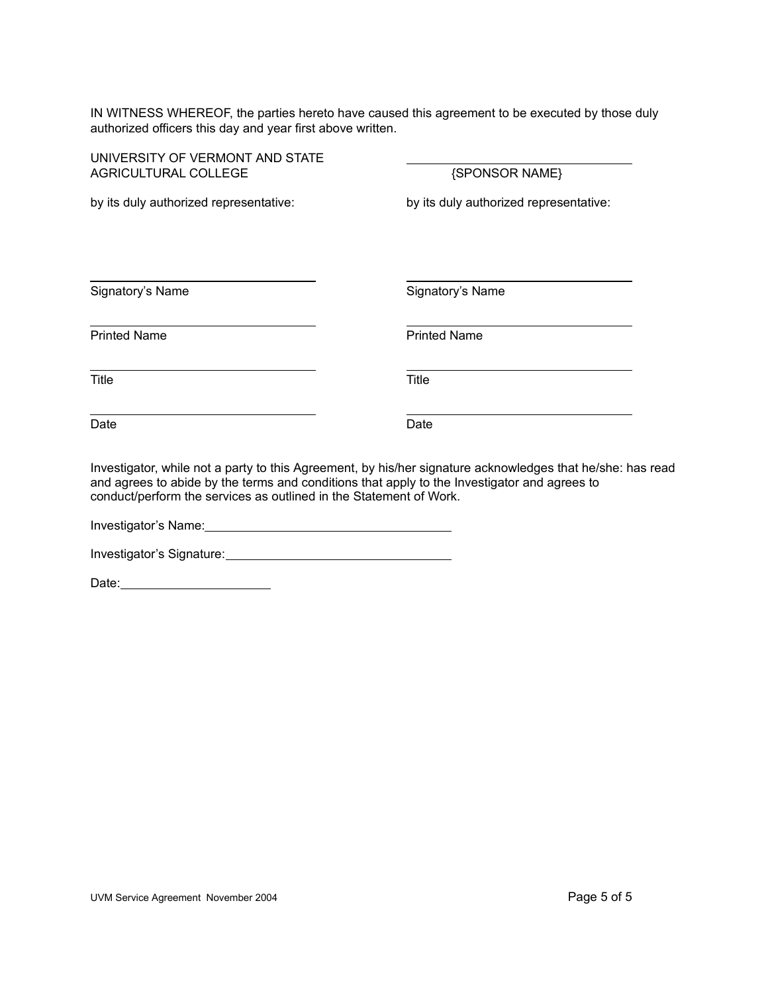IN WITNESS WHEREOF, the parties hereto have caused this agreement to be executed by those duly authorized officers this day and year first above written.

| UNIVERSITY OF VERMONT AND STATE<br>AGRICULTURAL COLLEGE                                                                                                            | {SPONSOR NAME}                                                                                             |
|--------------------------------------------------------------------------------------------------------------------------------------------------------------------|------------------------------------------------------------------------------------------------------------|
| by its duly authorized representative:                                                                                                                             | by its duly authorized representative:                                                                     |
| Signatory's Name                                                                                                                                                   | Signatory's Name                                                                                           |
| <b>Printed Name</b>                                                                                                                                                | <b>Printed Name</b>                                                                                        |
| Title                                                                                                                                                              | Title                                                                                                      |
| Date                                                                                                                                                               | Date                                                                                                       |
| and agrees to abide by the terms and conditions that apply to the Investigator and agrees to<br>conduct/perform the services as outlined in the Statement of Work. | Investigator, while not a party to this Agreement, by his/her signature acknowledges that he/she: has read |

Investigator's Name: Name: Name and National Contract of the Contract of the Contract of the Contract of the Contract of the Contract of the Contract of the Contract of the Contract of the Contract of the Contract of the C

Investigator's Signature:<br>
<u>Investigator's</u>

Date: